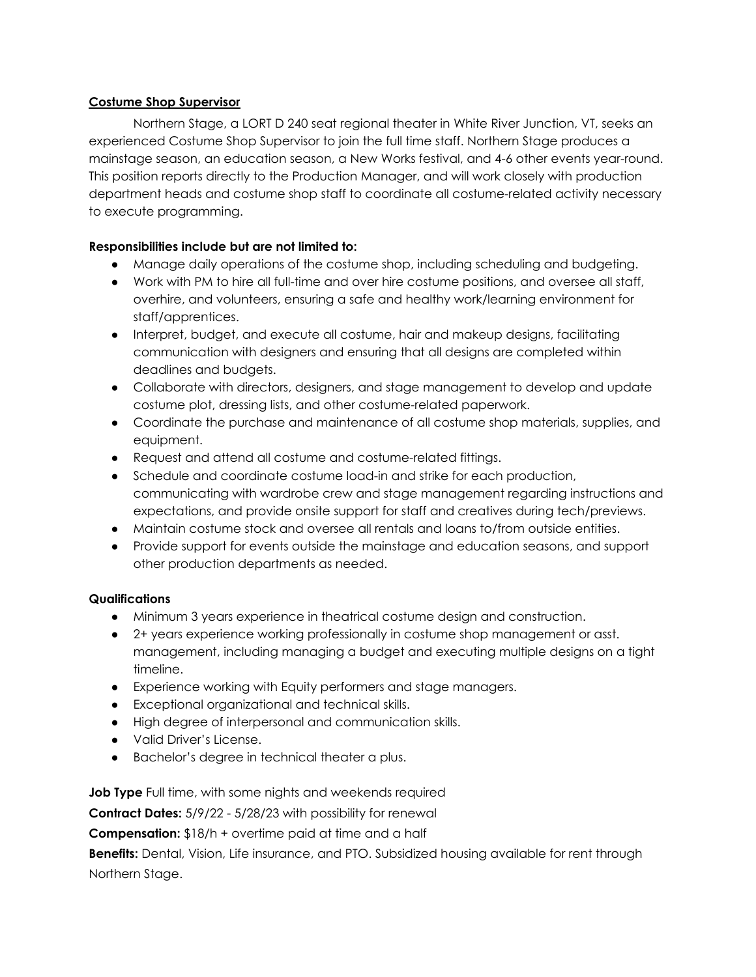## **Costume Shop Supervisor**

Northern Stage, a LORT D 240 seat regional theater in White River Junction, VT, seeks an experienced Costume Shop Supervisor to join the full time staff. Northern Stage produces a mainstage season, an education season, a New Works festival, and 4-6 other events year-round. This position reports directly to the Production Manager, and will work closely with production department heads and costume shop staff to coordinate all costume-related activity necessary to execute programming.

## **Responsibilities include but are not limited to:**

- Manage daily operations of the costume shop, including scheduling and budgeting.
- Work with PM to hire all full-time and over hire costume positions, and oversee all staff, overhire, and volunteers, ensuring a safe and healthy work/learning environment for staff/apprentices.
- Interpret, budget, and execute all costume, hair and makeup designs, facilitating communication with designers and ensuring that all designs are completed within deadlines and budgets.
- Collaborate with directors, designers, and stage management to develop and update costume plot, dressing lists, and other costume-related paperwork.
- Coordinate the purchase and maintenance of all costume shop materials, supplies, and equipment.
- Request and attend all costume and costume-related fittings.
- Schedule and coordinate costume load-in and strike for each production, communicating with wardrobe crew and stage management regarding instructions and expectations, and provide onsite support for staff and creatives during tech/previews.
- Maintain costume stock and oversee all rentals and loans to/from outside entities.
- Provide support for events outside the mainstage and education seasons, and support other production departments as needed.

## **Qualifications**

- Minimum 3 years experience in theatrical costume design and construction.
- 2+ years experience working professionally in costume shop management or asst. management, including managing a budget and executing multiple designs on a tight timeline.
- Experience working with Equity performers and stage managers.
- Exceptional organizational and technical skills.
- High degree of interpersonal and communication skills.
- Valid Driver's License.
- Bachelor's degree in technical theater a plus.

**Job Type** Full time, with some nights and weekends required

**Contract Dates:** 5/9/22 - 5/28/23 with possibility for renewal

**Compensation:** \$18/h + overtime paid at time and a half

**Benefits:** Dental, Vision, Life insurance, and PTO. Subsidized housing available for rent through Northern Stage.